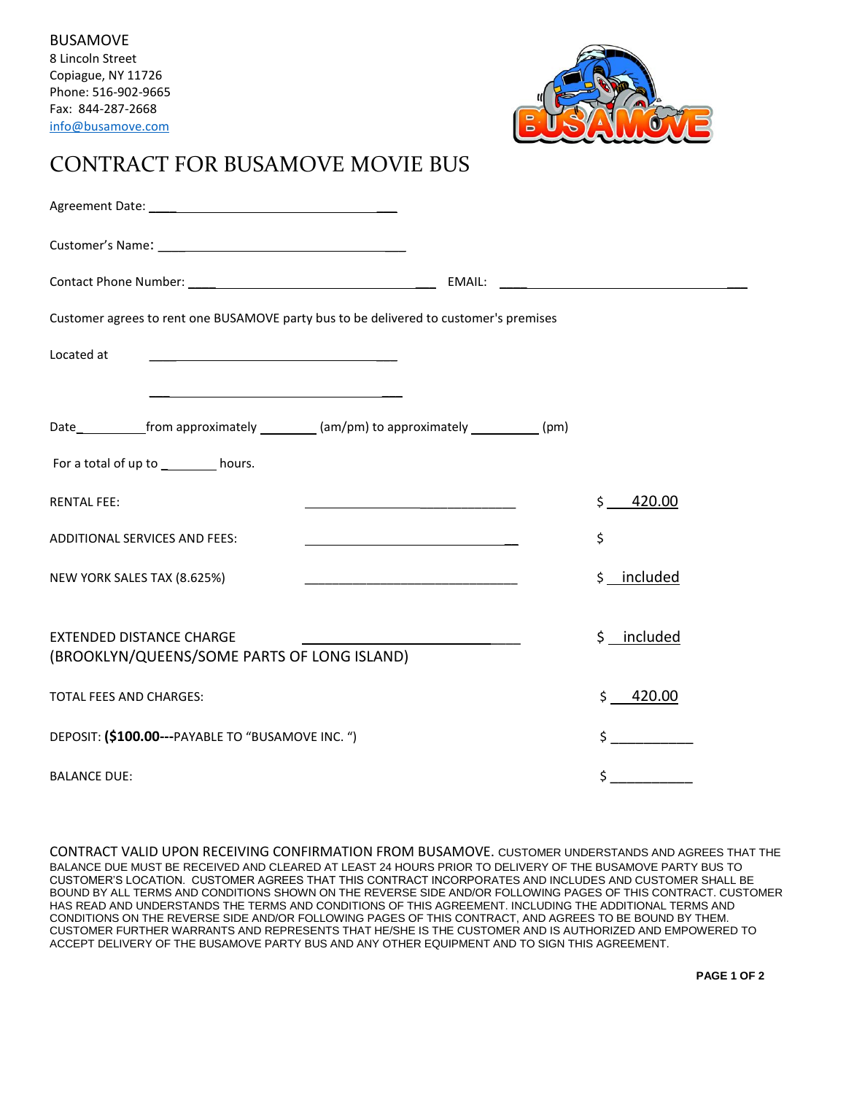

## CONTRACT FOR BUSAMOVE MOVIE BUS

| Customer agrees to rent one BUSAMOVE party bus to be delivered to customer's premises                                                                                                                                                               |                |
|-----------------------------------------------------------------------------------------------------------------------------------------------------------------------------------------------------------------------------------------------------|----------------|
| Located at                                                                                                                                                                                                                                          |                |
|                                                                                                                                                                                                                                                     |                |
| Date______________from approximately ___________(am/pm) to approximately ____________(pm)                                                                                                                                                           |                |
| For a total of up to __________ hours.                                                                                                                                                                                                              |                |
| <b>RENTAL FEE:</b><br>the control of the control of the control of the control of the control of the control of the control of the control of the control of the control of the control of the control of the control of the control of the control | 420.00<br>Ś.   |
| <b>ADDITIONAL SERVICES AND FEES:</b>                                                                                                                                                                                                                | \$             |
| NEW YORK SALES TAX (8.625%)                                                                                                                                                                                                                         | \$ __ included |
| <b>EXTENDED DISTANCE CHARGE</b><br>(BROOKLYN/QUEENS/SOME PARTS OF LONG ISLAND)                                                                                                                                                                      | \$ __ included |
| <b>TOTAL FEES AND CHARGES:</b>                                                                                                                                                                                                                      | \$420.00       |
| DEPOSIT: (\$100.00---PAYABLE TO "BUSAMOVE INC. ")                                                                                                                                                                                                   | $\sharp$       |
| <b>BALANCE DUE:</b>                                                                                                                                                                                                                                 | \$             |

CONTRACT VALID UPON RECEIVING CONFIRMATION FROM BUSAMOVE. CUSTOMER UNDERSTANDS AND AGREES THAT THE BALANCE DUE MUST BE RECEIVED AND CLEARED AT LEAST 24 HOURS PRIOR TO DELIVERY OF THE BUSAMOVE PARTY BUS TO CUSTOMER'S LOCATION. CUSTOMER AGREES THAT THIS CONTRACT INCORPORATES AND INCLUDES AND CUSTOMER SHALL BE BOUND BY ALL TERMS AND CONDITIONS SHOWN ON THE REVERSE SIDE AND/OR FOLLOWING PAGES OF THIS CONTRACT. CUSTOMER HAS READ AND UNDERSTANDS THE TERMS AND CONDITIONS OF THIS AGREEMENT. INCLUDING THE ADDITIONAL TERMS AND CONDITIONS ON THE REVERSE SIDE AND/OR FOLLOWING PAGES OF THIS CONTRACT, AND AGREES TO BE BOUND BY THEM. CUSTOMER FURTHER WARRANTS AND REPRESENTS THAT HE/SHE IS THE CUSTOMER AND IS AUTHORIZED AND EMPOWERED TO ACCEPT DELIVERY OF THE BUSAMOVE PARTY BUS AND ANY OTHER EQUIPMENT AND TO SIGN THIS AGREEMENT.